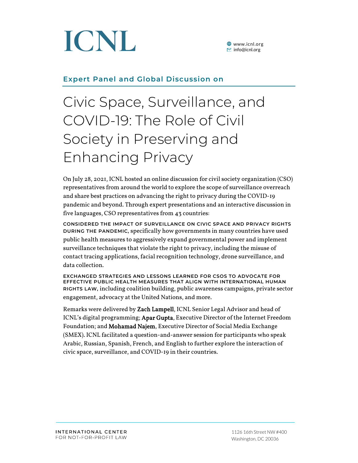

**<sup>●</sup>** www.icnl.org  $\Xi$  info@icnl.org

### **Expert Panel and Global Discussion on**

## Civic Space, Surveillance, and COVID-19: The Role of Civil Society in Preserving and Enhancing Privacy

On July 28, 2021, ICNL hosted an online discussion for civil society organization (CSO) representatives from around the world to explore the scope of surveillance overreach and share best practices on advancing the right to privacy during the COVID-19 pandemic and beyond. Through expert presentations and an interactive discussion in five languages, CSO representatives from 43 countries:

**CONSIDERED THE IMPACT OF SURVEILLANCE ON CIVIC SPACE AND PRIVACY RIGHTS DURING THE PANDEMIC,** specifically how governments in many countries have used public health measures to aggressively expand governmental power and implement surveillance techniques that violate the right to privacy, including the misuse of contact tracing applications, facial recognition technology, drone surveillance, and data collection.

**EXCHANGED STRATEGIES AND LESSONS LEARNED FOR CSOS TO ADVOCATE FOR EFFECTIVE PUBLIC HEALTH MEASURES THAT ALIGN WITH INTERNATIONAL HUMAN RIGHTS LAW,** including coalition building, public awareness campaigns, private sector engagement, advocacy at the United Nations, and more.

Remarks were delivered by Zach Lampell, ICNL Senior Legal Advisor and head of ICNL's digital programming; Apar Gupta, Executive Director of the Internet Freedom Foundation; and Mohamad Najem, Executive Director of Social Media Exchange (SMEX). ICNL facilitated a question-and-answer session for participants who speak Arabic, Russian, Spanish, French, and English to further explore the interaction of civic space, surveillance, and COVID-19 in their countries.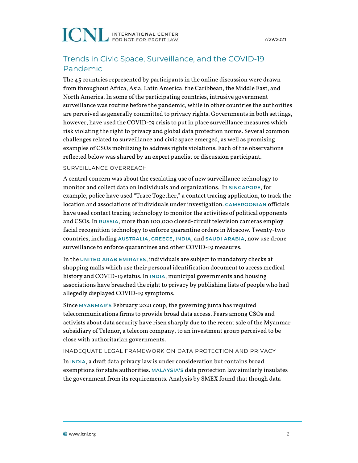## **ICNL INTERNATIONAL CENTER**

## Trends in Civic Space, Surveillance, and the COVID-19 Pandemic

The 43 countries represented by participants in the online discussion were drawn from throughout Africa, Asia, Latin America, the Caribbean, the Middle East, and North America. In some of the participating countries, intrusive government surveillance was routine before the pandemic, while in other countries the authorities are perceived as generally committed to privacy rights. Governments in both settings, however, have used the COVID-19 crisis to put in place surveillance measures which risk violating the right to privacy and global data protection norms. Several common challenges related to surveillance and civic space emerged, as well as promising examples of CSOs mobilizing to address rights violations. Each of the observations reflected below was shared by an expert panelist or discussion participant.

#### SURVEILLANCE OVERREACH

A central concern was about the escalating use of new surveillance technology to monitor and collect data on individuals and organizations. In **SINGAPORE**, for example, police have used "Trace Together," a contact tracing application, to track the location and associations of individuals under investigation. **CAMEROONIAN** officials have used contact tracing technology to monitor the activities of political opponents and CSOs. In **RUSSIA**, more than 100,000 closed-circuit television cameras employ facial recognition technology to enforce quarantine orders in Moscow. Twenty-two countries, including **AUSTRALIA**, **GREECE**, **INDIA**, and **SAUDI ARABIA**, now use drone surveillance to enforce quarantines and other COVID-19 measures.

In the **UNITED ARAB EMIRATES**, individuals are subject to mandatory checks at shopping malls which use their personal identification document to access medical history and COVID-19 status. In **INDIA**, municipal governments and housing associations have breached the right to privacy by publishing lists of people who had allegedly displayed COVID-19 symptoms.

Since **MYANMAR'S** February 2021 coup, the governing junta has required telecommunications firms to provide broad data access. Fears among CSOs and activists about data security have risen sharply due to the recent sale of the Myanmar subsidiary of Telenor, a telecom company, to an investment group perceived to be close with authoritarian governments.

#### INADEQUATE LEGAL FRAMEWORK ON DATA PROTECTION AND PRIVACY

In **INDIA**, a draft data privacy law is under consideration but contains broad exemptions for state authorities. **MALAYSIA'S** data protection law similarly insulates the government from its requirements. Analysis by SMEX found that though data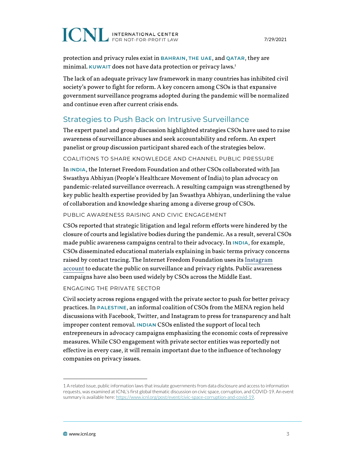# **ICNL INTERNATIONAL CENTER**

protection and privacy rules exist in **BAHRAIN**, **THE UAE**, and **QATAR**, they are minimal. **KUWAIT** does not have data protection or privacy laws.1

The lack of an adequate privacy law framework in many countries has inhibited civil society's power to fight for reform. A key concern among CSOs is that expansive government surveillance programs adopted during the pandemic will be normalized and continue even after current crisis ends.

## Strategies to Push Back on Intrusive Surveillance

The expert panel and group discussion highlighted strategies CSOs have used to raise awareness of surveillance abuses and seek accountability and reform. An expert panelist or group discussion participant shared each of the strategies below.

#### COALITIONS TO SHARE KNOWLEDGE AND CHANNEL PUBLIC PRESSURE

In **INDIA**, the Internet Freedom Foundation and other CSOs collaborated with Jan Swasthya Abhiyan (People's Healthcare Movement of India) to plan advocacy on pandemic-related surveillance overreach. A resulting campaign was strengthened by key public health expertise provided by Jan Swasthya Abhiyan, underlining the value of collaboration and knowledge sharing among a diverse group of CSOs.

#### PUBLIC AWARENESS RAISING AND CIVIC ENGAGEMENT

CSOs reported that strategic litigation and legal reform efforts were hindered by the closure of courts and legislative bodies during the pandemic. As a result, several CSOs made public awareness campaigns central to their advocacy. In **INDIA**, for example, CSOs disseminated educational materials explaining in basic terms privacy concerns raised by contact tracing. The Internet Freedom Foundation uses its [Instagram](https://www.instagram.com/internetfreedom.in/?hl=en) [account](https://www.instagram.com/internetfreedom.in/?hl=en) to educate the public on surveillance and privacy rights. Public awareness campaigns have also been used widely by CSOs across the Middle East.

#### ENGAGING THE PRIVATE SECTOR

Civil society across regions engaged with the private sector to push for better privacy practices. In **PALESTINE**, an informal coalition of CSOs from the MENA region held discussions with Facebook, Twitter, and Instagram to press for transparency and halt improper content removal. **INDIAN** CSOs enlisted the support of local tech entrepreneurs in advocacy campaigns emphasizing the economic costs of repressive measures. While CSO engagement with private sector entities was reportedly not effective in every case, it will remain important due to the influence of technology companies on privacy issues.

<sup>1</sup> A related issue, public information laws that insulate governments from data disclosure and access to information requests, was examined at ICNL's first global thematic discussion on civic space, corruption, and COVID-19. An event summary is available here: https://www.icnl.org/post/event/civic-space-corruption-and-covid-19.